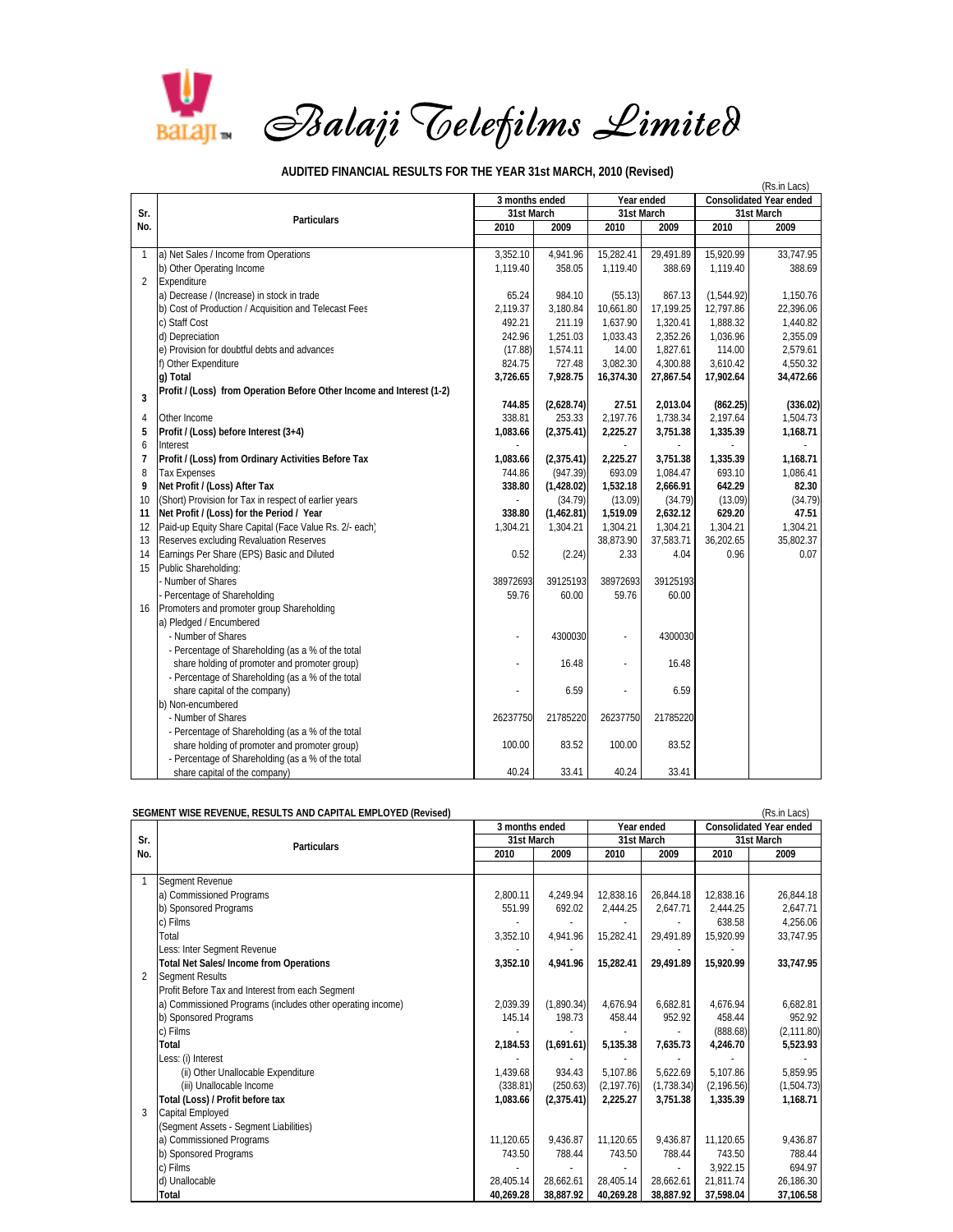

## (Rs.in Lacs) **2010 2009 2010 2009 2010 2009** 1 a) Net Sales / Income from Operations 3,352.10 1,119.40 15,282.41 29,491.89 15,920.99 33,747.95<br>1,119.40 1,119.40 388.69 1,119.40 388.69 1,119.40 388.69 1,119.40 388.69 b) Other Operating Income 1,119.40 1,119.40 358.05 1,119.40 388.69 1,119.40 388.69 1,119.40 2 Expenditure a) Decrease / (Increase) in stock in trade 65.24 and 55.24 984.10 (55.13) 867.13 (1,544.92) 1,150.76<br>
b) Cost of Production / Acquisition and Telecast Fees 22,396.06 (2,119.37 3,180.84 10,661.80 17,199.25 12,797.86 22,396. b) Cost of Production / Acquisition and Telecast Fees 2,119.37 3,180.84 10,661.80 17,199.25 12,797.86 22,396.06<br>c) Staff Cost 1,888.32 1.440.82 c) Staff Cost 1,440.82 21 211.19 211.19 1,637.90 1,320.41 1,888.32 1,440.82 d) Depreciation 2,355.09 2,355.09 2,355.09 2,352.26 1,033.43 2,352.26 1,036.96 2,355.09 e) Provision for doubtful debts and advances (17.88) 1,574.11 14.00 1,827.61 114.00 2,579.61 f) Other Expenditure 824.75  $\vert$  824.75  $\vert$  727.48  $\vert$  3.082.30  $\vert$  4.300.88  $\vert$  3.610.42  $\vert$  4.550.32 **g) Total 3,726.6 5 7,928.75 16,374.30 27,867.54 34,472.6 17,902.64 6 <sup>3</sup> Profit / (Loss) from Operation Before Other Income and Interest (1-2) (2,628.74) 744.85 27.51 2,013.04 (862.25) (336.02)**  4 Other Income 338.81 2,197.76 | 1,738.34 2,197.64 2,197.64 2,197.64 1,504.73 **5 Profit / (Loss) before Interest (3+4) 1,083.66 (2,375.41) 2,225.27 3,751.38 1,168.71 1,335.39**  6 Interest - - - - - **7 Profit / (Loss) from Ordinary Activities Before Tax** 1,168.71 **1,083.66** (2,375.41) 2,225.27 3,751.38 1,335.39 1,168.71 **1,168.71** 8 Tax Expenses **1,086.41** 1,086.41 8 Tax Expenses 744.86 (947.39) 693.09 1,084.47 693.10 1,086.41 693.09 1,086.41 693.10 **9 Net Profit / (Loss) After Tax 338.80 (1,428.02) 1,532.18 2,666.91 82.30 642.29**  10 (Short) Provision for Tax in respect of earlier years - (34.79) (34.79) (13.09) (34.79) (34.79) (34.79) (31<br>11 Net Profit / (Loss) for the Period / Year - (34.79) (34.79) (13.09) (34.79) (34.79) (34.79) (34.79) (31.79) **11 Net Profit / (Loss) for the Period / Year 338.80 (1,462.81) 1,519.09 2,632.12 629.20 47.51<br>12 Paid-up Equity Share Capital (Face Value Rs. 2/- each) 1.304.21 1.304.21 1.304.21 1.304.21 1.304.21 1.304.21** 12 Paid-up Equity Share Capital (Face Value Rs. 2/- each) 1,304.21 13 Reserves excluding Revaluation Reserves 35,802.37<br>14 Remings Per Share (EPS) Basic and Diluted 30.07 36,202.00 37,583.71 36,202.65 35,802.37 14 Earnings Per Share (EPS) Basic and Diluted 15 Public Shareholding: - Number of Shares 38972693 39125193 38972693 39125193 38972693 39125193 38972693 39125193 Percentage of Shareholding 2000 59.76 60.00 59.76 60.00 59.76 60.00 16 Promoters and promoter group Shareholding a) Pledged / Encumbered - Number of Shares - 2300030 - 4300030 - 4300030 - 4300030 - 4300030 - 4300030 - 4300030 - 4300030 - 4300030 - 4300030 - 4300030 - 4300030 - 4300030 - 4300030 - 4300030 - 4300030 - 4300030 - 4300030 - 4300030 - 4300030 - 4 - Percentage of Shareholding (as a % of the total share holding of promoter and promoter group) 16.48 - 16.48 - 16.48 - Percentage of Shareholding (as a % of the total share capital of the company) 6.59 - - 6.59 b) Non-encumbered - Number of Shares 26237750 21785220 26237750 21785220 26237750 21785220 - Percentage of Shareholding (as a % of the total share holding of promoter and promoter group)  $\begin{array}{|c|c|c|c|c|c|c|c|} \hline \end{array}$  100.00  $\begin{array}{|c|c|c|c|c|c|c|c|c|} \hline \end{array}$  83.52 100.00 83.52 - Percentage of Shareholding (as a % of the total share capital of the company) 33.41 40.24 40.24 40.24 40.24 40.24 40.24 40.24 40.24 40.24 40.24 40.24 40.24 40.24 40.24 40.24 40.24 40.24 40.24 40.24 40.24 40.24 40.24 40.24 40.24 40.24 40.24 40.24 40.24 40.24 40.24 40.24 **Particulars Sr. No. 31st March 31st March 31st March 3 months ended Year ended Consolidated Year ended**

## **AUDITED FINANCIAL RESULTS FOR THE YEAR 31st MARCH, 2010 (Revised)**

|            | SEGMENT WISE REVENUE, RESULTS AND CAPITAL EMPLOYED (Revised) |                |            |             |            | (Rs.in Lacs)                   |             |
|------------|--------------------------------------------------------------|----------------|------------|-------------|------------|--------------------------------|-------------|
| Sr.<br>No. | <b>Particulars</b>                                           | 3 months ended |            | Year ended  |            | <b>Consolidated Year ended</b> |             |
|            |                                                              | 31st March     |            | 31st March  |            | 31st March                     |             |
|            |                                                              | 2010           | 2009       | 2010        | 2009       | 2010                           | 2009        |
|            | Segment Revenue                                              |                |            |             |            |                                |             |
|            | a) Commissioned Programs                                     | 2,800.11       | 4,249.94   | 12,838.16   | 26,844.18  | 12,838.16                      | 26,844.18   |
|            | b) Sponsored Programs                                        | 551.99         | 692.02     | 2.444.25    | 2.647.71   | 2,444.25                       | 2.647.71    |
|            | c) Films                                                     |                |            |             |            | 638.58                         | 4,256.06    |
|            | Total                                                        | 3,352.10       | 4,941.96   | 15,282.41   | 29.491.89  | 15,920.99                      | 33,747.95   |
|            | Less: Inter Segment Revenue                                  |                |            |             |            |                                |             |
|            | <b>Total Net Sales/Income from Operations</b>                | 3,352.10       | 4,941.96   | 15,282.41   | 29,491.89  | 15,920.99                      | 33,747.95   |
| 2          | <b>Segment Results</b>                                       |                |            |             |            |                                |             |
|            | Profit Before Tax and Interest from each Segment             |                |            |             |            |                                |             |
|            | a) Commissioned Programs (includes other operating income)   | 2,039.39       | (1,890.34) | 4,676.94    | 6,682.81   | 4,676.94                       | 6,682.81    |
|            | b) Sponsored Programs                                        | 145.14         | 198.73     | 458.44      | 952.92     | 458.44                         | 952.92      |
| 3          | c) Films                                                     |                |            |             |            | (888.68)                       | (2, 111.80) |
|            | Total                                                        | 2,184.53       | (1,691.61) | 5,135.38    | 7,635.73   | 4,246.70                       | 5,523.93    |
|            | Less: (i) Interest                                           |                |            |             |            |                                |             |
|            | (ii) Other Unallocable Expenditure                           | 1.439.68       | 934.43     | 5.107.86    | 5,622.69   | 5,107.86                       | 5,859.95    |
|            | (iii) Unallocable Income                                     | (338.81)       | (250.63)   | (2, 197.76) | (1,738.34) | (2, 196.56)                    | (1,504.73)  |
|            | Total (Loss) / Profit before tax                             | 1,083.66       | (2,375.41) | 2,225.27    | 3,751.38   | 1,335.39                       | 1.168.71    |
|            | Capital Employed                                             |                |            |             |            |                                |             |
|            | (Segment Assets - Segment Liabilities)                       |                |            |             |            |                                |             |
|            | a) Commissioned Programs                                     | 11.120.65      | 9,436.87   | 11,120.65   | 9,436.87   | 11,120.65                      | 9,436.87    |
|            | b) Sponsored Programs                                        | 743.50         | 788.44     | 743.50      | 788.44     | 743.50                         | 788.44      |
|            | c) Films                                                     |                |            |             |            | 3.922.15                       | 694.97      |
|            | d) Unallocable                                               | 28,405.14      | 28,662.61  | 28,405.14   | 28.662.61  | 21,811.74                      | 26,186.30   |
|            | Total                                                        | 40.269.28      | 38,887.92  | 40,269.28   | 38.887.92  | 37,598.04                      | 37,106.58   |